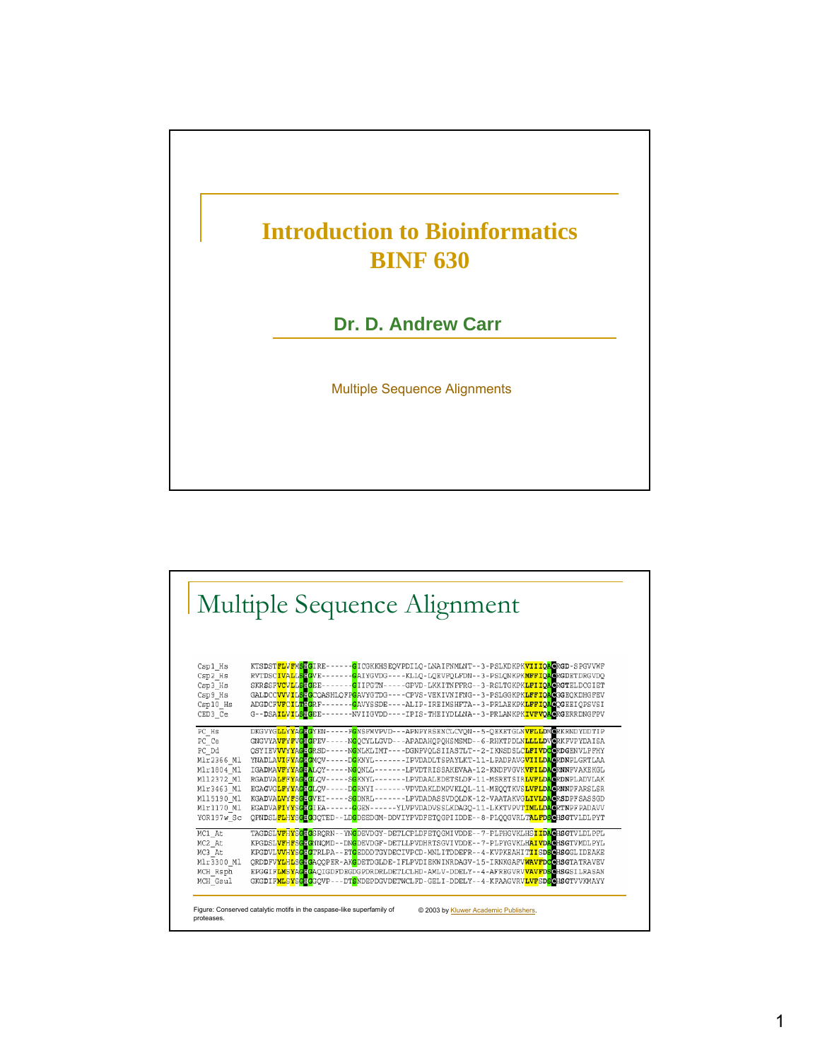

| Multiple Sequence Alignment                          |                                                                                                                                                                                                                                                                                                                                                                                                                                                                                                                                                                                                                             |
|------------------------------------------------------|-----------------------------------------------------------------------------------------------------------------------------------------------------------------------------------------------------------------------------------------------------------------------------------------------------------------------------------------------------------------------------------------------------------------------------------------------------------------------------------------------------------------------------------------------------------------------------------------------------------------------------|
| Csp1 Hs<br>Csp2 Hs<br>Csp3 Hs<br>Csp9 Hs<br>Csp10 Hs | KTSDSTFLVFMSHGIRE-<br>- <mark>G</mark> ICGKKHS EQVPDILQ - LNAIFNMLNT - - 3 - PSLKDKPK <mark>VIIIQA</mark> GRGD - S PGVVWF<br>RVTDSCIVALLSTGVE-<br>- <mark>G</mark> AIYGVDG----KLLQ-LQEVFQLFDN--3-PSLQNKPK <mark>MFFIQAG</mark> RGDETDRGVDQ<br>SKRSSF <mark>VCVLLSHG</mark> EE-<br>- <mark>G</mark> IIFGTN-----GPVD-LKKITNFFRG--3-RSLTGKPK <mark>LFIIQAG</mark> RGTELDCGIET<br>GALDCC <mark>VVVILSHG</mark> CQASHLQFP <mark>G</mark> AVYGTDG----CPVS-VEKIVNIFNG--3-PSLGGKPK <mark>LFFIQA</mark> GGGEQKDHGFEV<br>- <mark>G</mark> AVYSSDE----ALIP-IREIMSHFTA--3-PRLAEKPK <mark>LFFIQAG</mark> QGEEIQPSVSI<br>ADGDCFVFCILTHGRF |
| CED3 Ce<br>PC Hs                                     | -NVIIGVDD----IPIS-THEIYDLLNA--3-PRLANKPK <mark>IVFVOAC</mark> RGERRDNGFPV<br>G--DSAILVIL <mark>SHG</mark> EE<br>DKGVYGLLYYAGHGYEN<br>-FONSFMVPVD---APNPYRSENCLCVON--5-QEKETGLNVFLLDMORKRNDYDDTIP                                                                                                                                                                                                                                                                                                                                                                                                                            |
| PC Ce<br>PC Dd                                       | GNGVYA <mark>VF</mark> YFVGHGFEV-<br>-N <mark>G</mark> OCYLLGVD---APADAHOPOHSMSMD--6-RHKTPDLN <mark>LLLLD</mark> VCRKFVPYDAISA<br>OSYIEV <mark>VVYYAGEG</mark> RSD-<br>-N <mark>G</mark> NLKLIMT----DGNPVOLSIIASTLT--2-IKNSDSLC <mark>LFIVDCG</mark> RDGENVLPFHY                                                                                                                                                                                                                                                                                                                                                            |
| Mlr2366 Ml<br>Mlr1804 Ml                             | YNADLA <mark>VIFYAGHG</mark> MOV-<br>-D <mark>G</mark> KNYL-------IPVDADLTSPAYLKT-11-LPADPAVG <mark>VIILDAG</mark> RDNPLGRTLAA<br>IGADMA <mark>VFYYAGHA</mark> LOY-<br>-NGONLL-------LPVDTRISSAKEVAA-12-KNDPVGVK <mark>VFILDAC</mark> RNNPVAKEKGL                                                                                                                                                                                                                                                                                                                                                                           |
| M112372 M1<br>Mlr3463 Ml                             | RGADVA <mark>LFFYAGHG</mark> LQV-<br>-S <mark>G</mark> KNYL-------LPVDAALEDETSLDF-11-MSRETSIR <mark>LVFLDA</mark> GRDNPLADVLAK<br>EGAGVGLFYYAGEGLOV-<br>-D <mark>G</mark> RNYI-------VPVDAKLDMPVKLOL-11-MEOOTKVS <mark>LVFLDAG</mark> RNNPFARSLSR                                                                                                                                                                                                                                                                                                                                                                           |
| M115190 Ml                                           | -S <mark>G</mark> DNRL-------LPVDADASSVDQLDK-12-VAATAKVG <mark>LIVLDA</mark> GRSDPFSASSGD<br>KGADVA <mark>LVYFSGHG</mark> VEI-                                                                                                                                                                                                                                                                                                                                                                                                                                                                                              |
| Mlr1170 Ml<br>YOR197w Sc                             | EGADVAFIYYSGIGIEA-<br>- <mark>G</mark> GEN------YLVPVDADVSSLKDAGO-11-LKKTVPVT <mark>IMLLDAG</mark> RTNPFPADAVV<br>QPNDSLFLHYSGEGGQTED-<br>LDGDEEDGM-DDVIYPVDFETQGPIIDDE--8-PLQQGVRLTALFDSGHSGTVLDLPYT                                                                                                                                                                                                                                                                                                                                                                                                                       |
| MC1 At                                               | TAGDSL <mark>VFHYSGEG</mark> SRQRN--YN <mark>G</mark> DEVDGY-DETLCPLDFETQGMIVDDE--7-PLPHGVKLHS <mark>IIDAC</mark> HSGTVLDLPFL                                                                                                                                                                                                                                                                                                                                                                                                                                                                                               |
| MC2 At<br>MC3 At                                     | KPGDSL <mark>VFHFSGEG</mark> NNOMD--DN <mark>G</mark> DEVDGF-DETLLPVDHRTSGVIVDDE--7-PLPYGVKLH <mark>AIVDAG</mark> HSGTVMDLPYL<br>KPGDVL <mark>VVHYSGEG</mark> TRLPA--ET <mark>G</mark> EDDDTGYDECIVPCD-MNLITDDEFR--4-KVPKEAHIT <mark>IISDSG</mark> HSGGLIDEAKE                                                                                                                                                                                                                                                                                                                                                              |
| Mlr3300 Ml                                           | ORDDFV <mark>YLHLSGHG</mark> AQOPER-AKGDETDGLDE-IFLPVDIEKWINRDAGV-15-IRNKGAFV <mark>WAVFDCG</mark> HSGTATRAVEV                                                                                                                                                                                                                                                                                                                                                                                                                                                                                                              |
| MCH Rsph<br>MCH Gsul                                 | EPGGIF <mark>LMSYAGHG</mark> AQIGDFDEGDGPDRDRLDETLCLHD-AMLV-DDELY--4-AFREGVRV <mark>VAVFDS</mark> CHSGSILRASAN<br>GKGDIF <mark>MLSYSGHG</mark> GQVP---DT <mark>S</mark> NDEPDGVDETWCLFD-GELI-DDELY--4-KFAAGVRV <mark>LVFSDS</mark> GHSGTVVKMAYY                                                                                                                                                                                                                                                                                                                                                                             |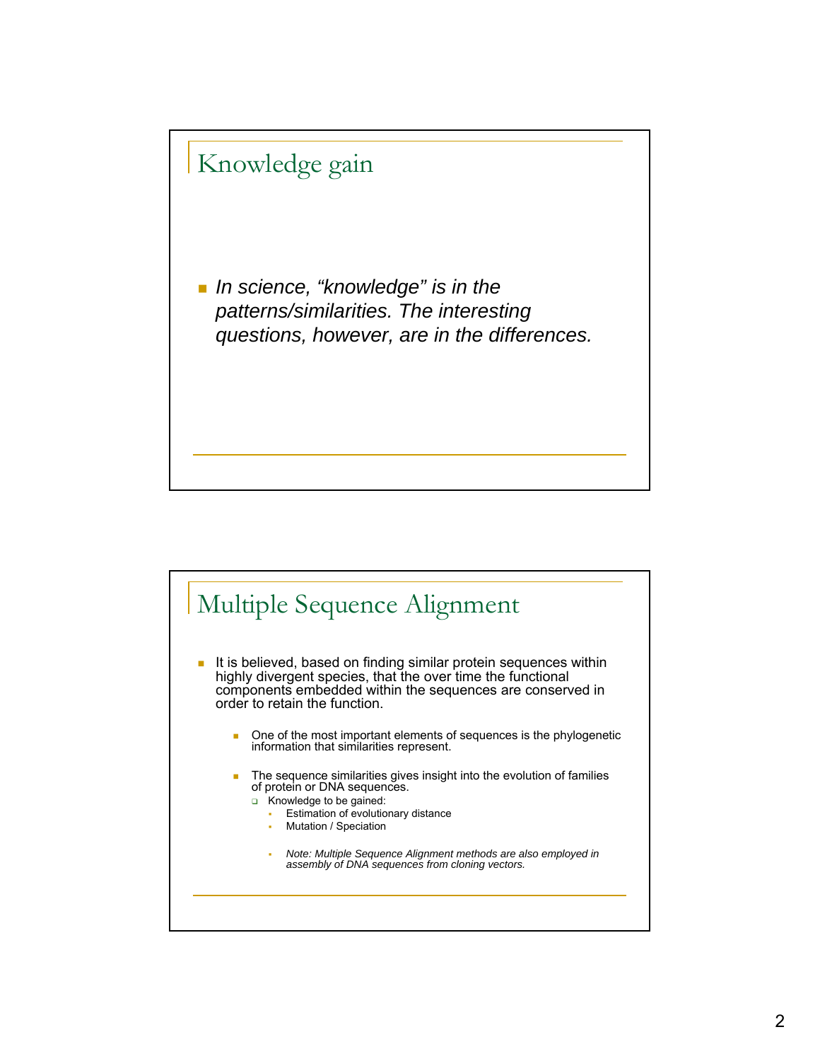

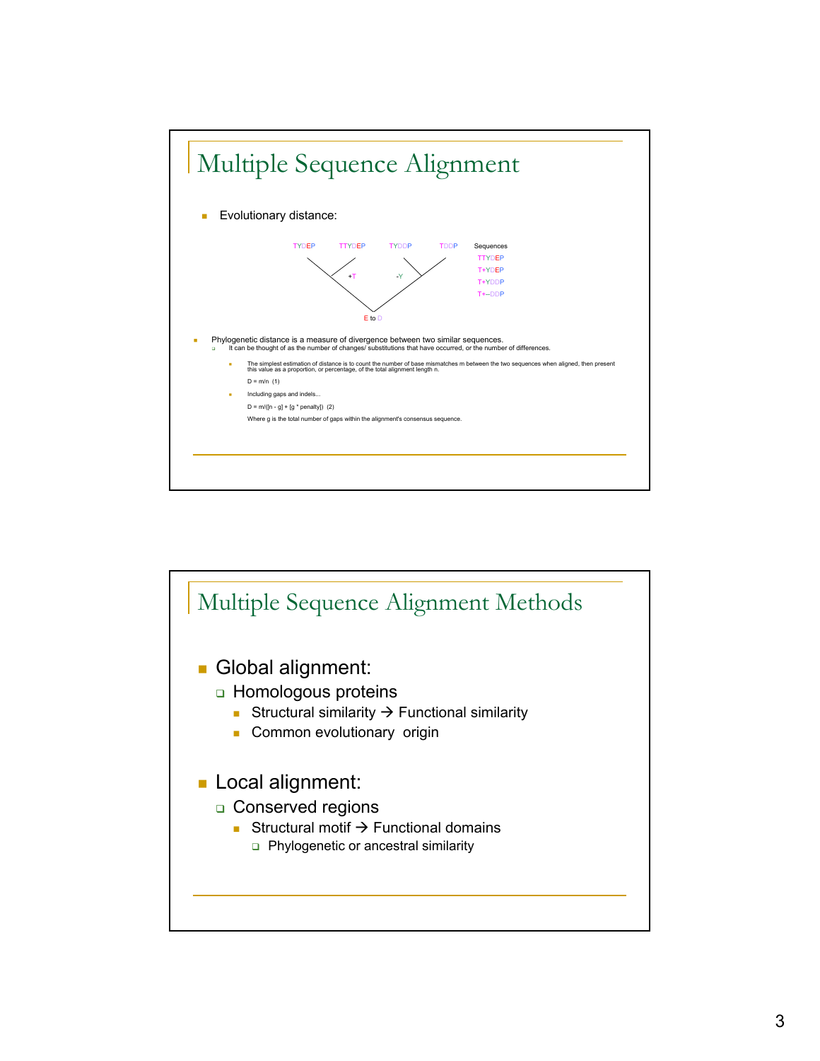

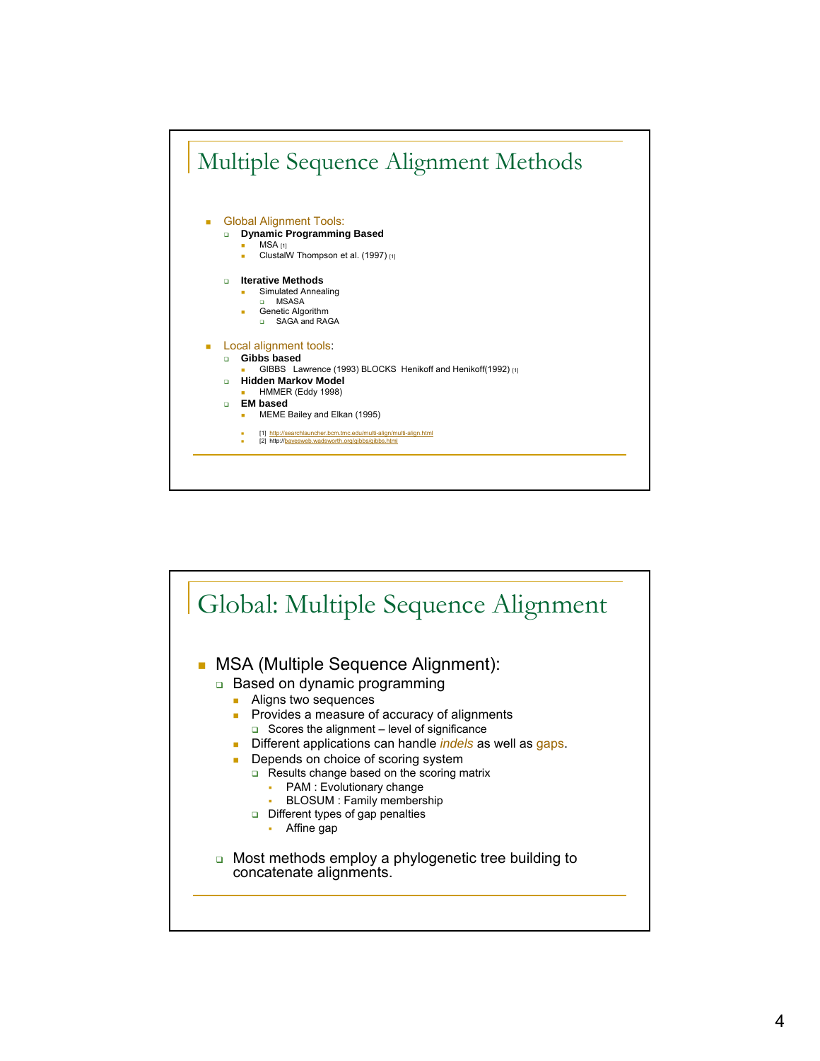

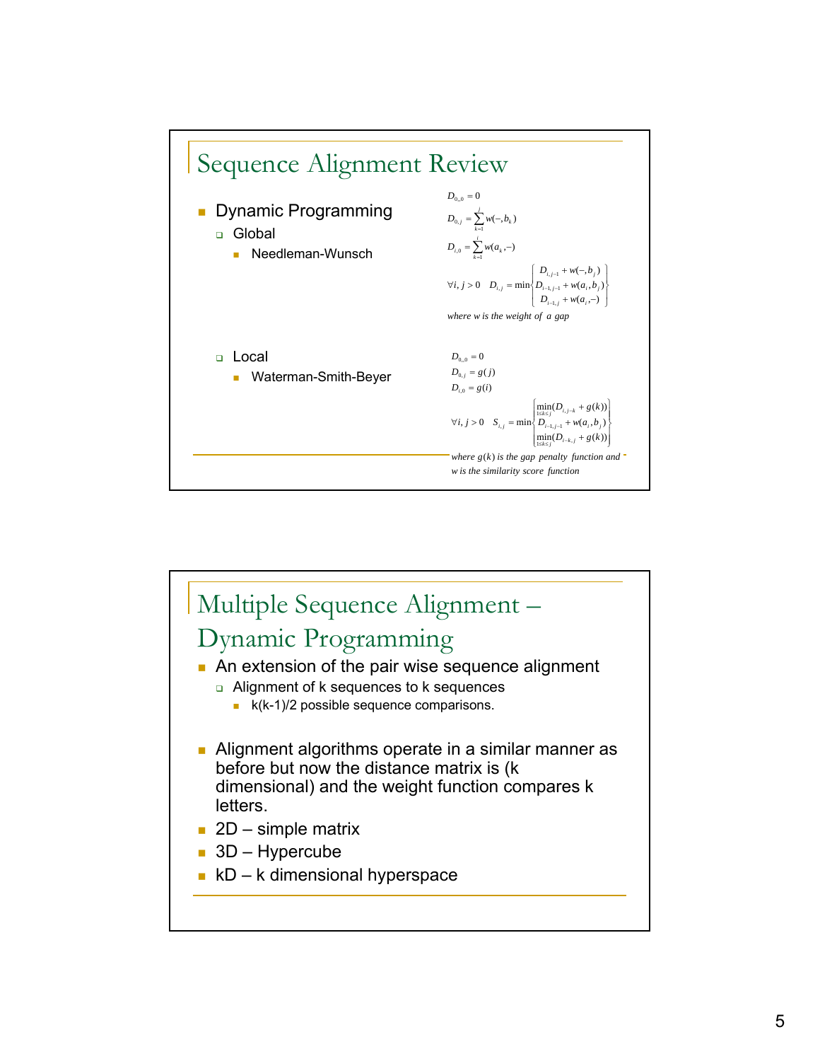

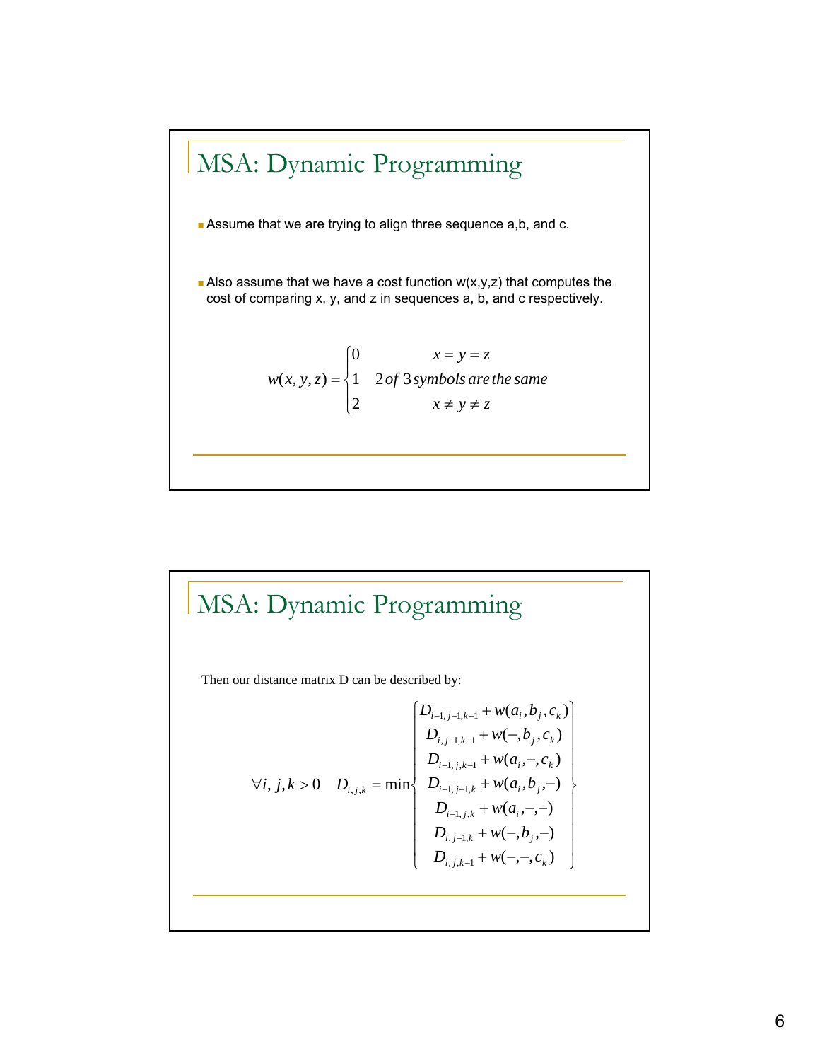

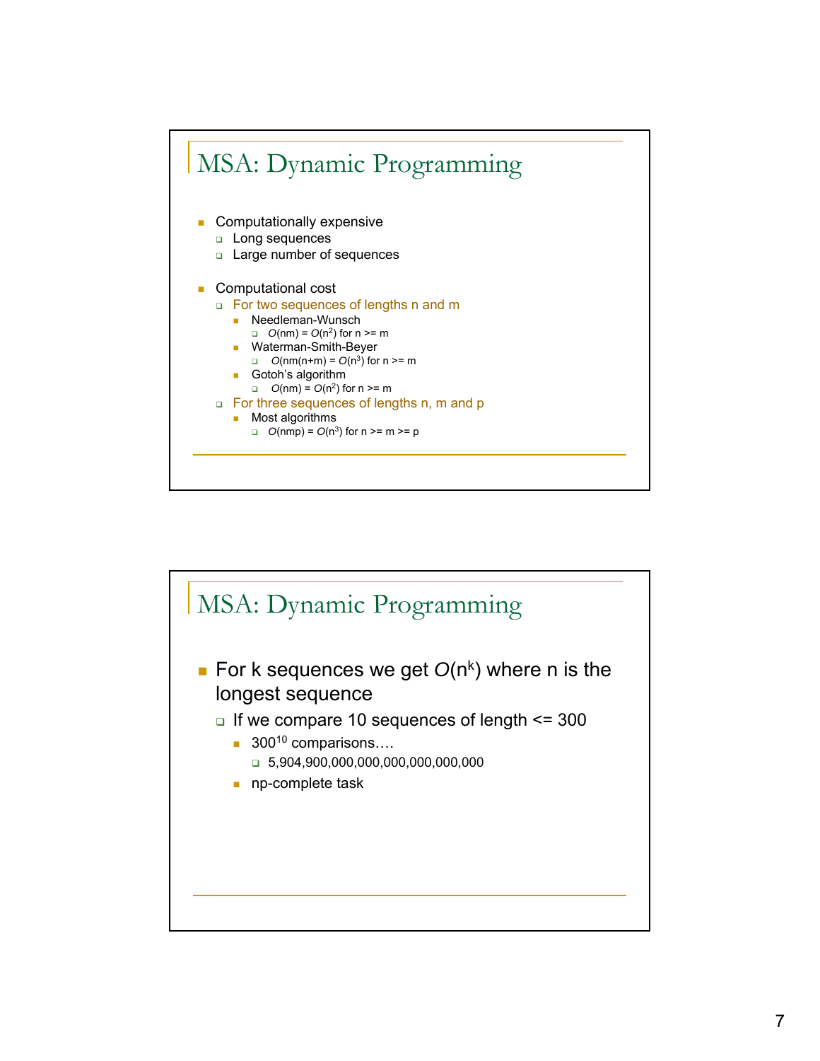

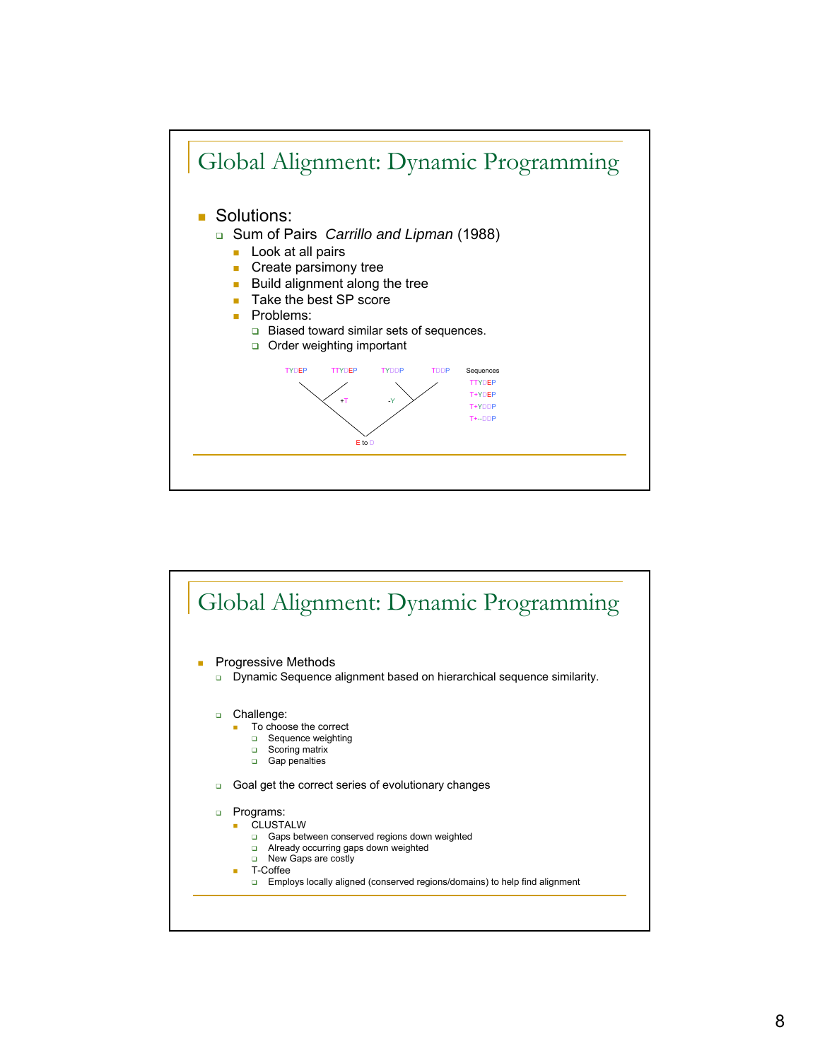

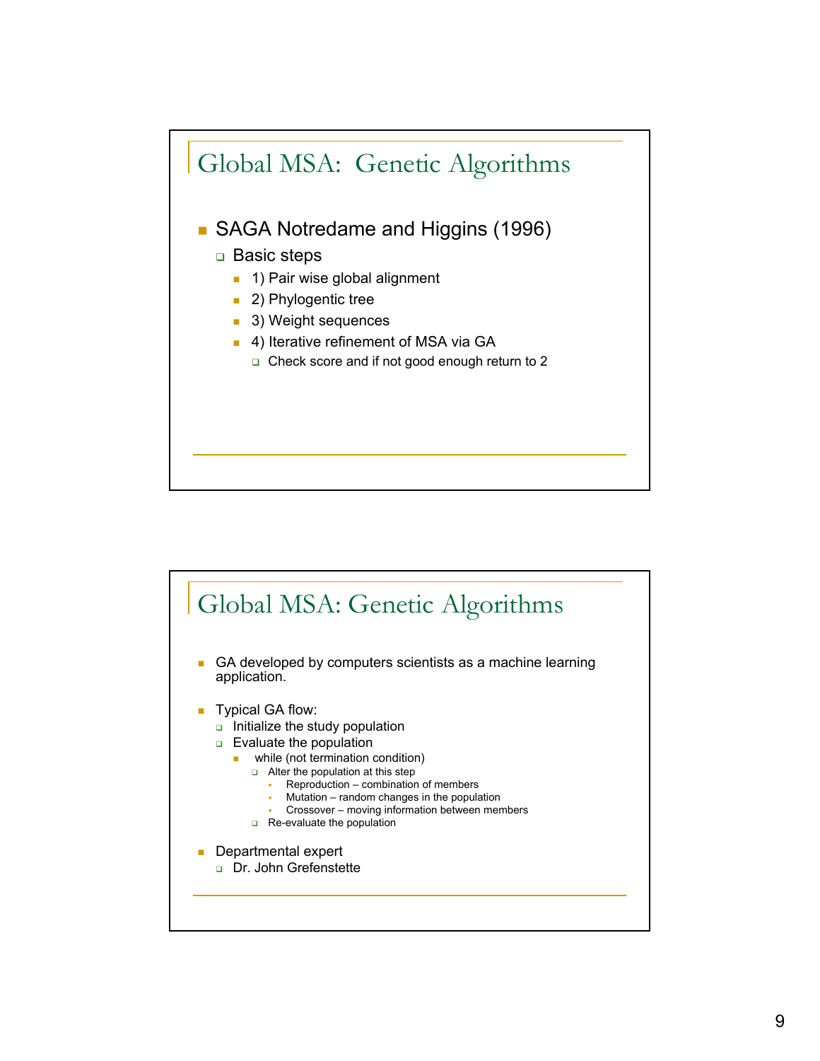

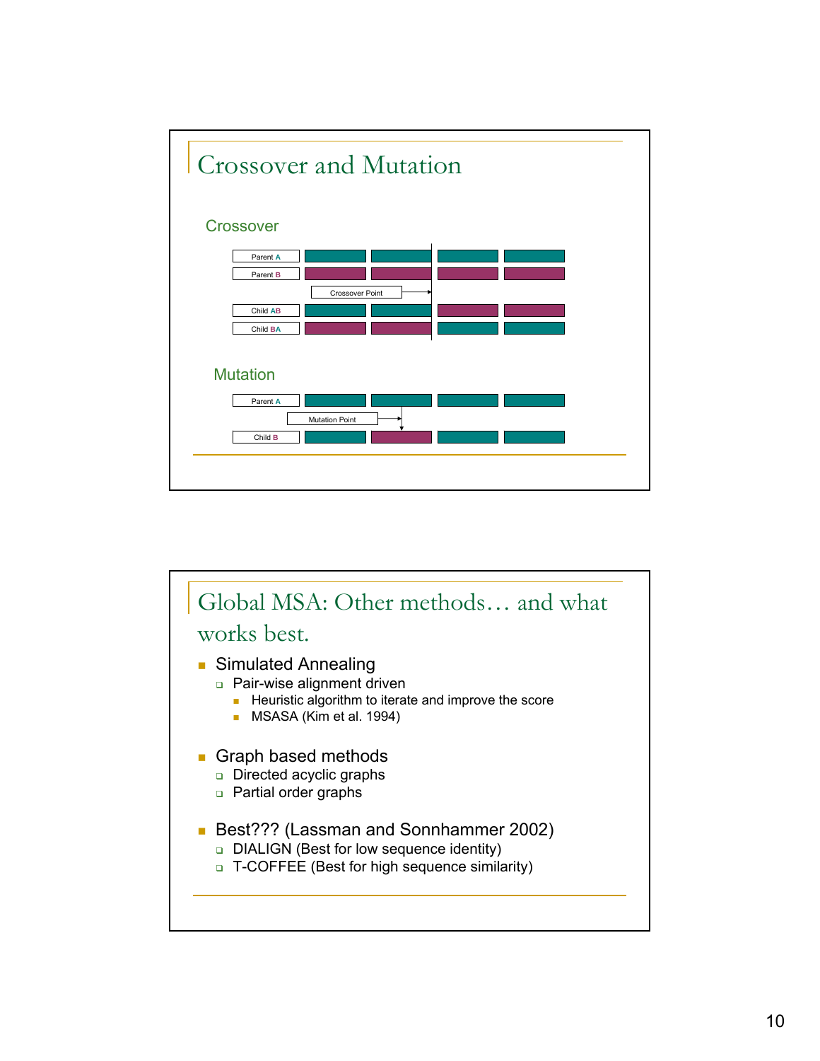

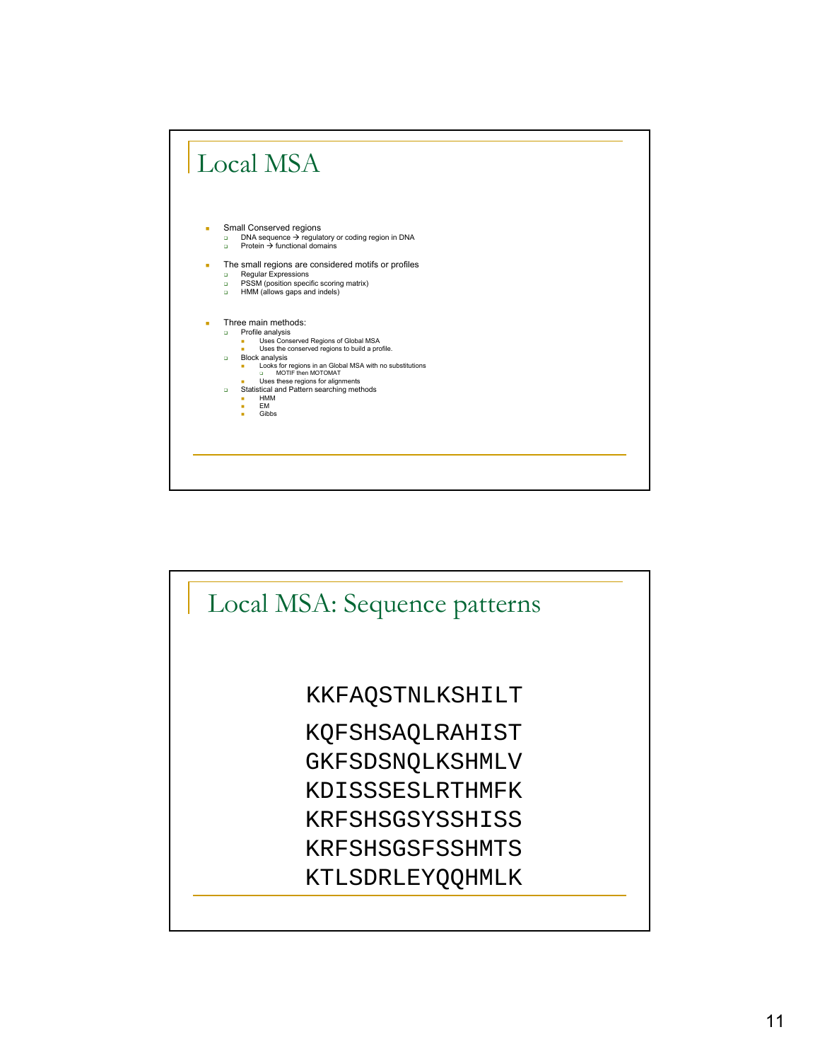

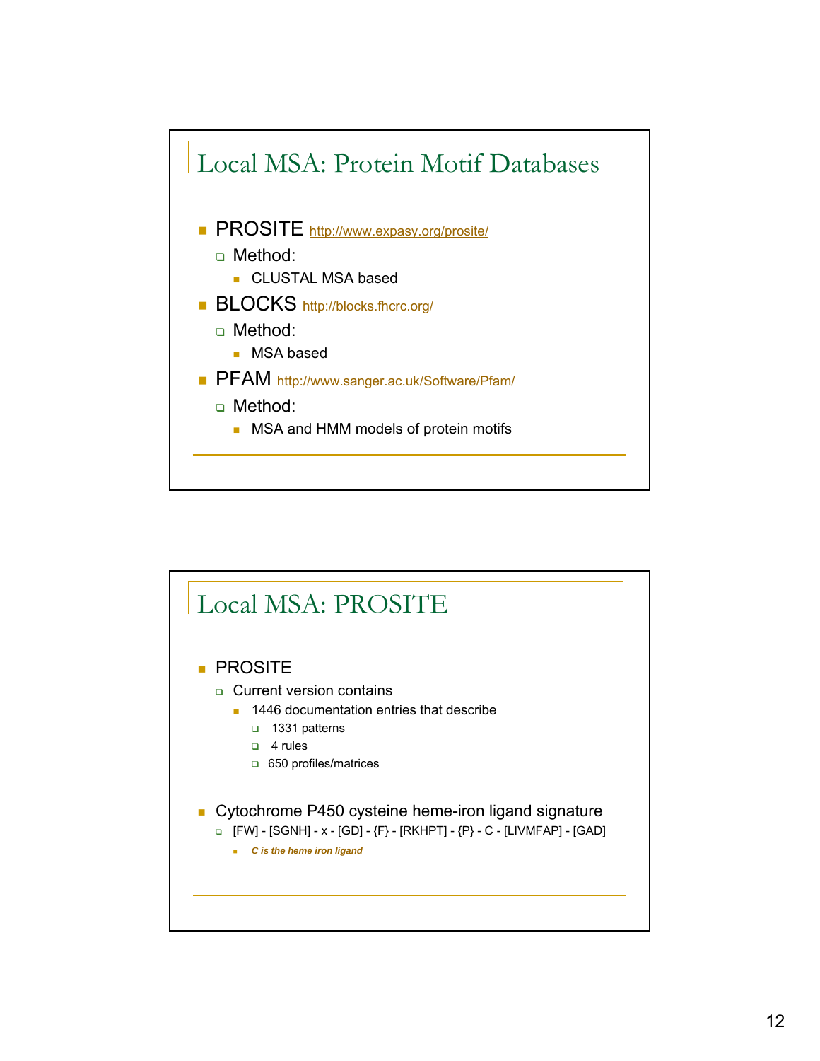

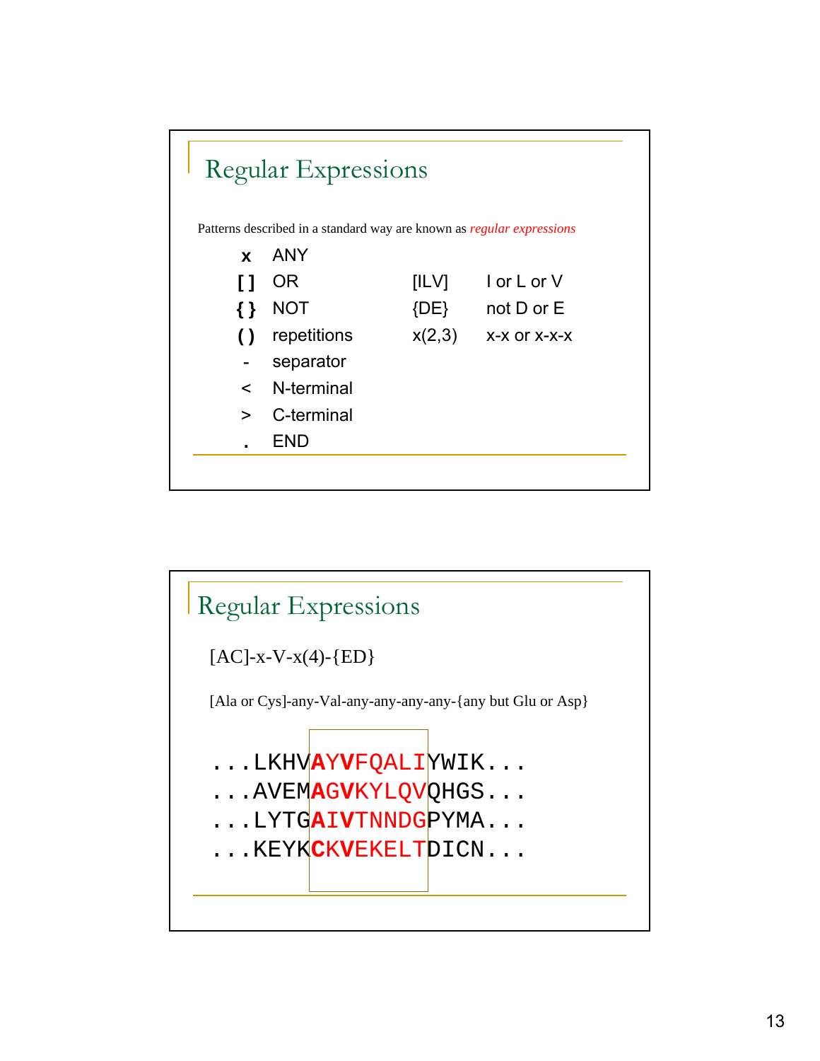

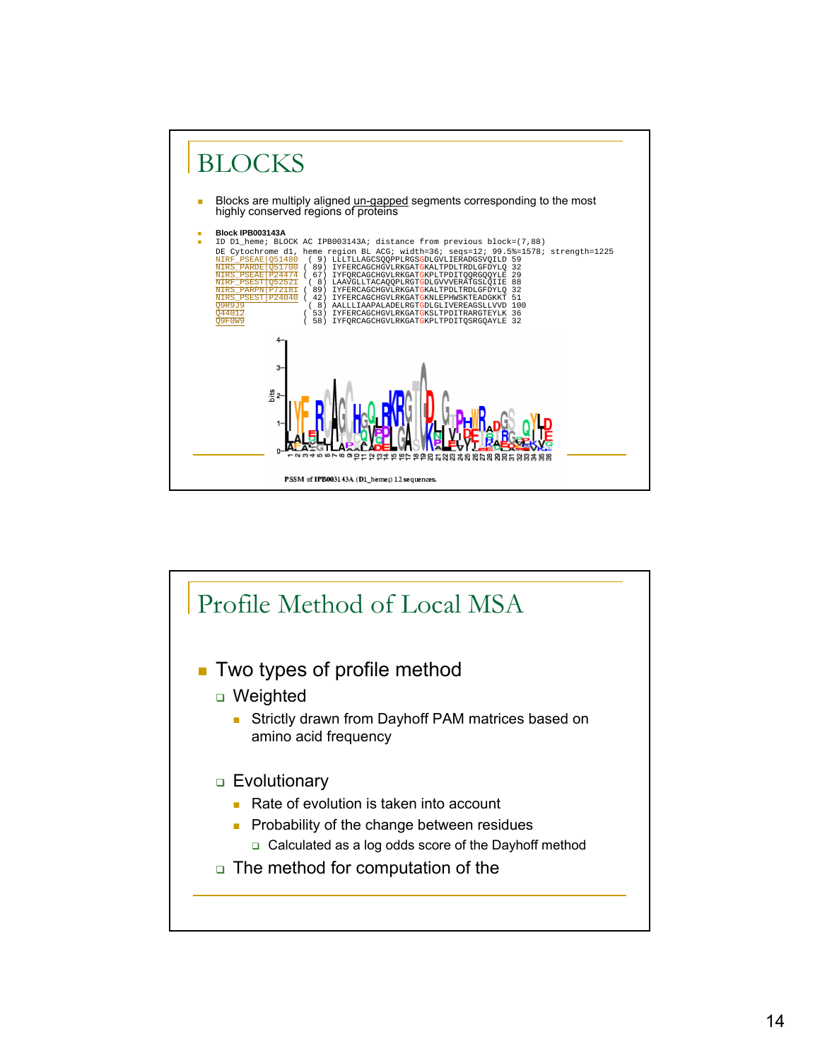

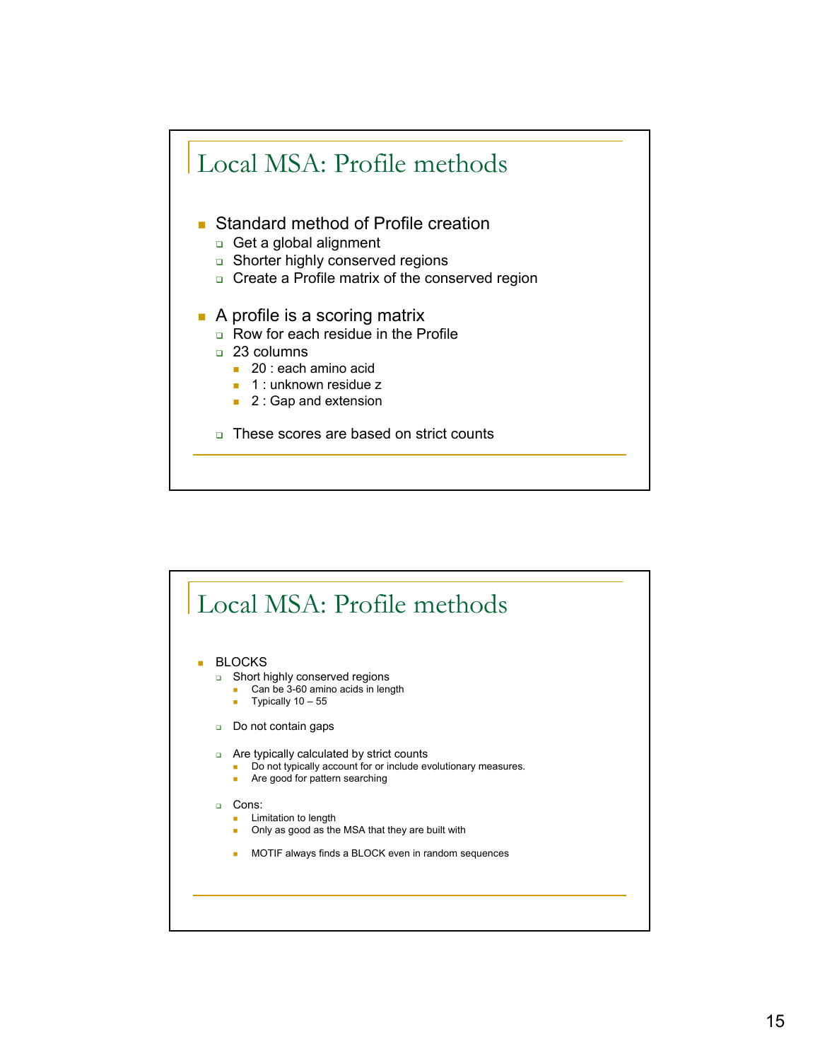

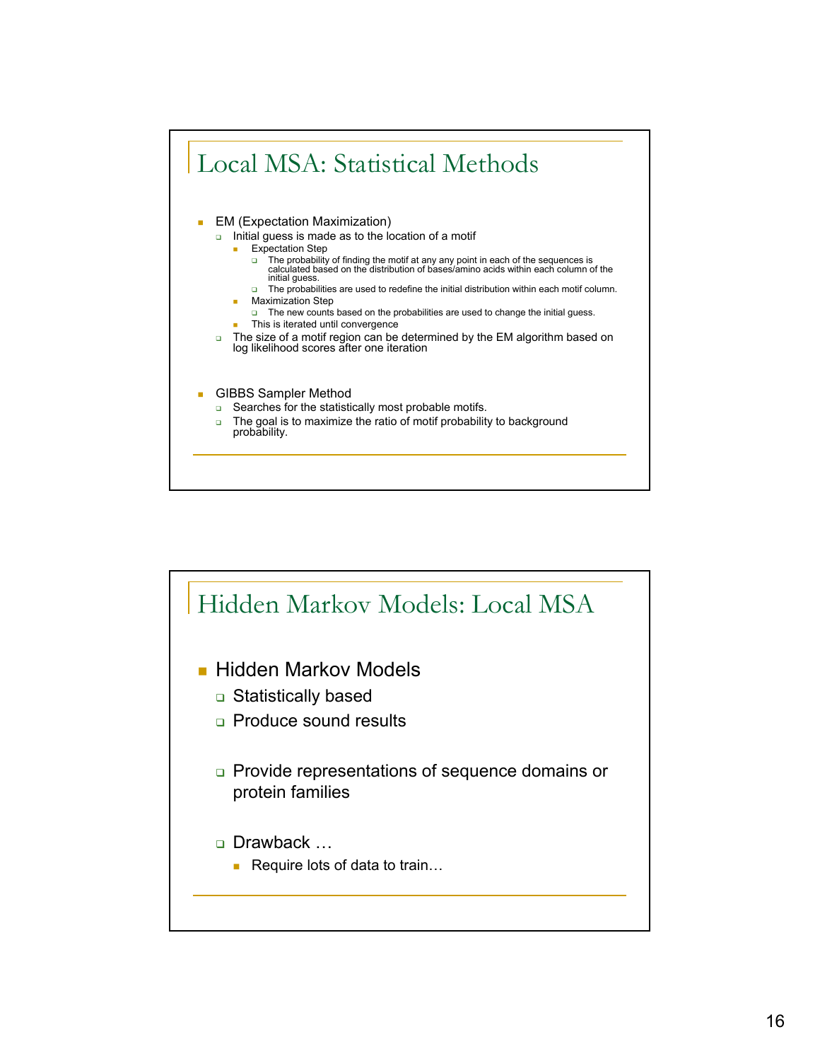

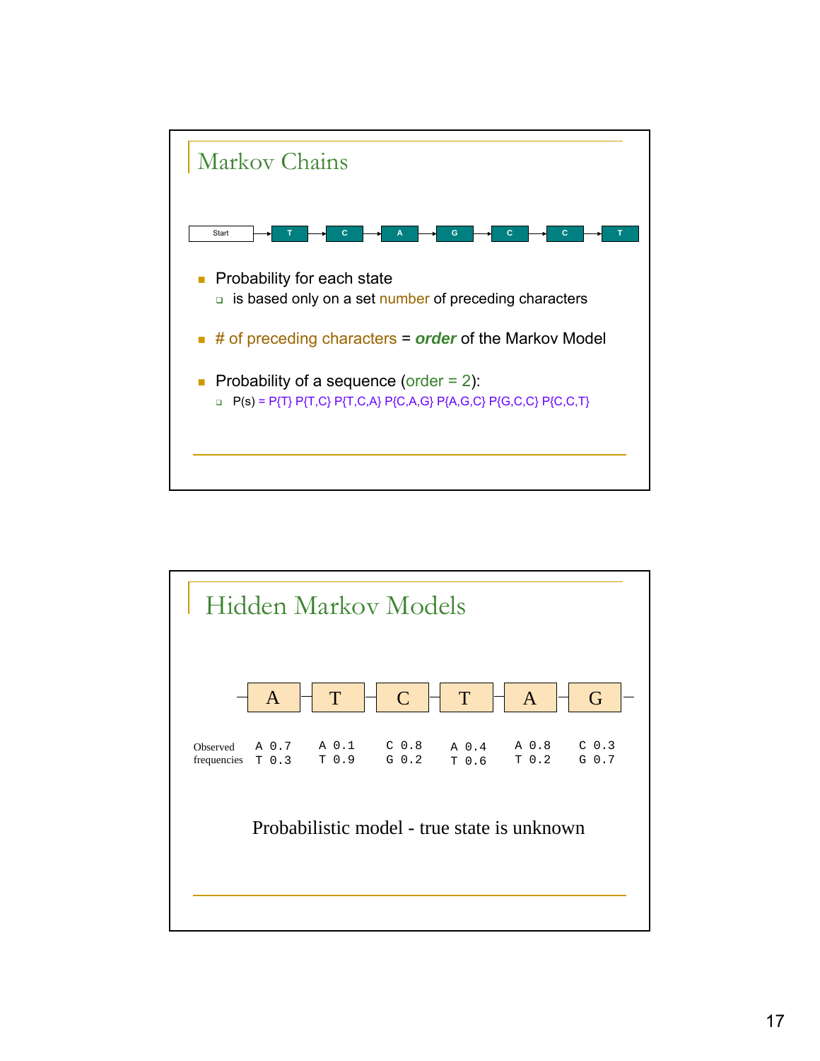

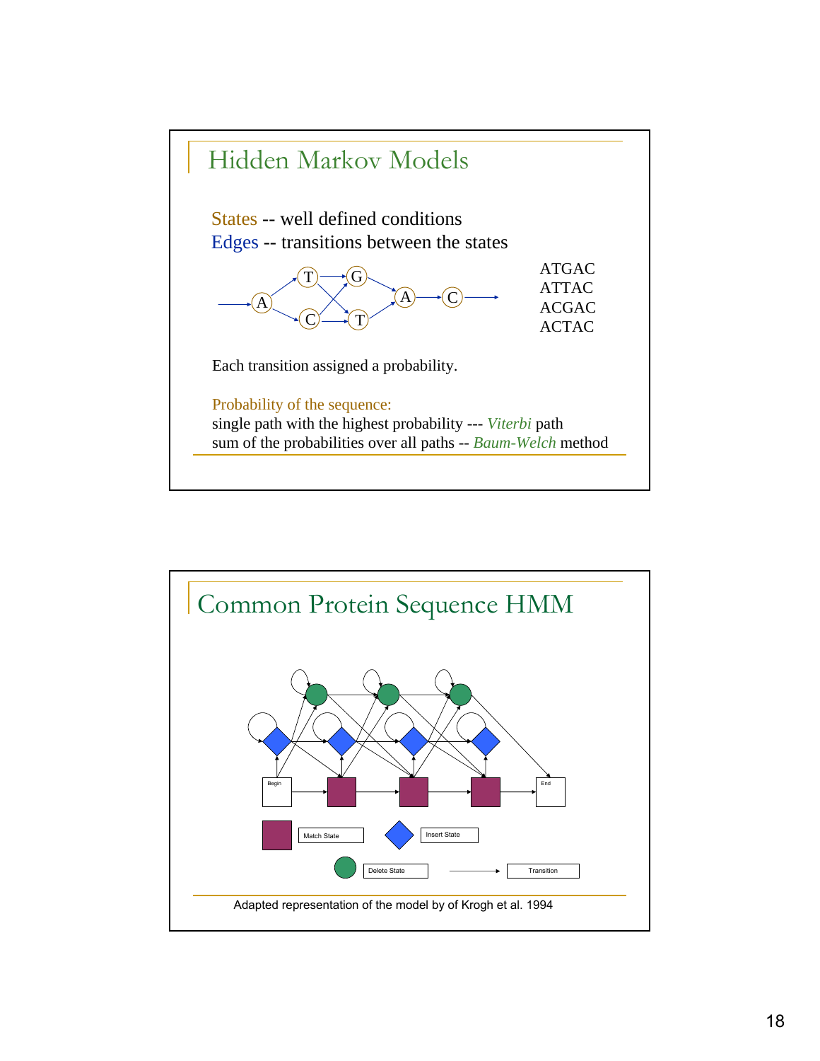

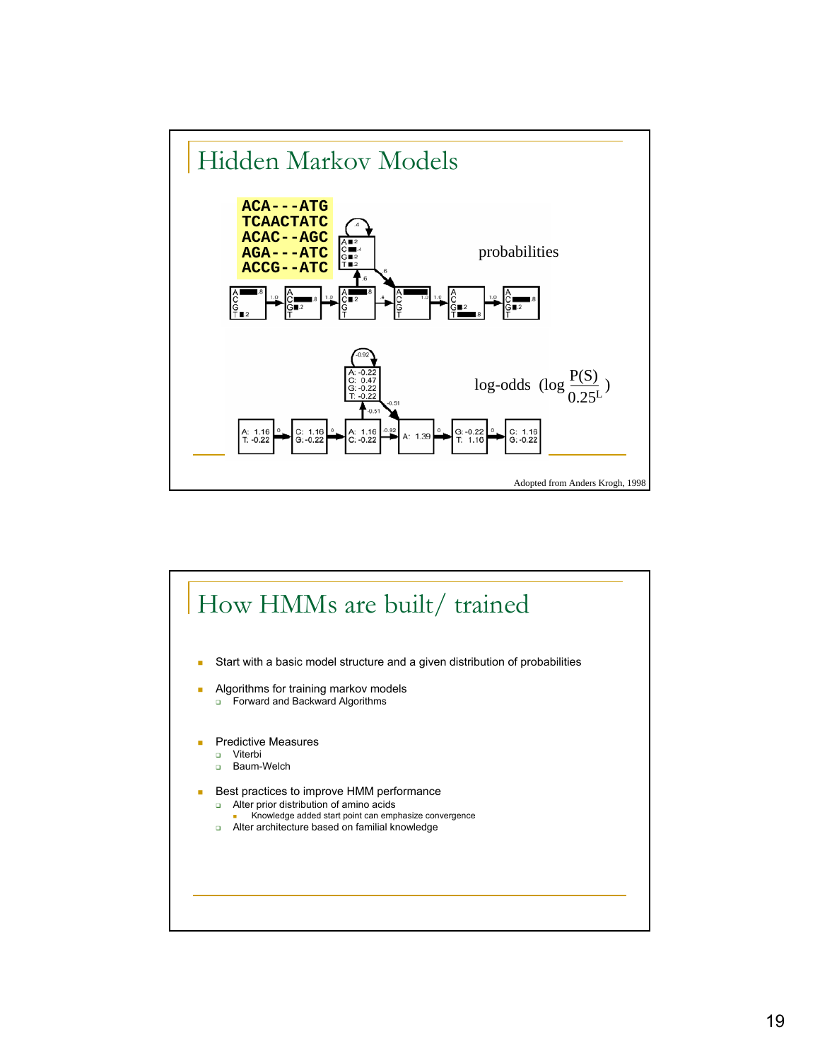

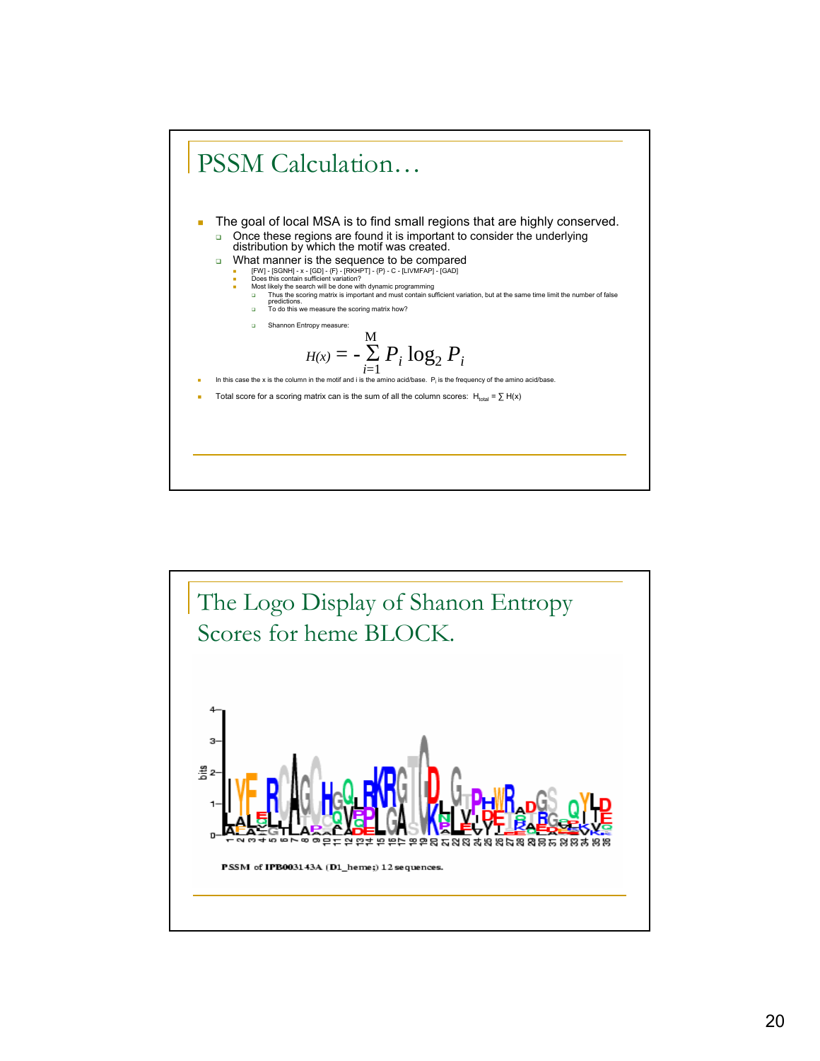